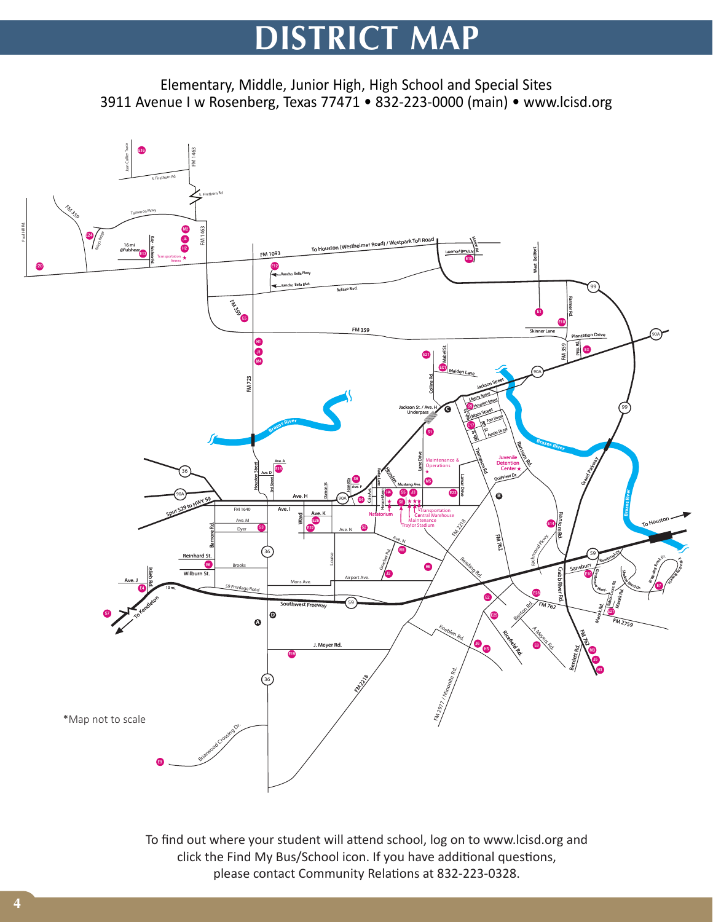# **DISTRICT MAP**

Elementary, Middle, Junior High, High School and Special Sites 3911 Avenue I w Rosenberg, Texas 77471 • 832-223-0000 (main) • www.lcisd.org



To find out where your student will attend school, log on to www.lcisd.org and click the Find My Bus/School icon. If you have additional questions, please contact Community Relations at 832-223-0328.